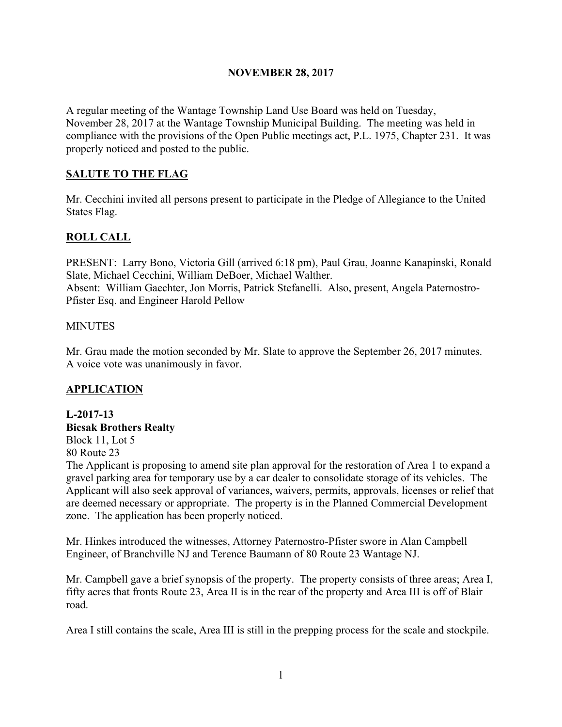## **NOVEMBER 28, 2017**

A regular meeting of the Wantage Township Land Use Board was held on Tuesday, November 28, 2017 at the Wantage Township Municipal Building. The meeting was held in compliance with the provisions of the Open Public meetings act, P.L. 1975, Chapter 231. It was properly noticed and posted to the public.

## **SALUTE TO THE FLAG**

Mr. Cecchini invited all persons present to participate in the Pledge of Allegiance to the United States Flag.

## **ROLL CALL**

PRESENT: Larry Bono, Victoria Gill (arrived 6:18 pm), Paul Grau, Joanne Kanapinski, Ronald Slate, Michael Cecchini, William DeBoer, Michael Walther. Absent: William Gaechter, Jon Morris, Patrick Stefanelli. Also, present, Angela Paternostro-Pfister Esq. and Engineer Harold Pellow

#### **MINUTES**

Mr. Grau made the motion seconded by Mr. Slate to approve the September 26, 2017 minutes. A voice vote was unanimously in favor.

## **APPLICATION**

#### **L-2017-13 Bicsak Brothers Realty**

Block 11, Lot 5

80 Route 23

The Applicant is proposing to amend site plan approval for the restoration of Area 1 to expand a gravel parking area for temporary use by a car dealer to consolidate storage of its vehicles. The Applicant will also seek approval of variances, waivers, permits, approvals, licenses or relief that are deemed necessary or appropriate. The property is in the Planned Commercial Development zone. The application has been properly noticed.

Mr. Hinkes introduced the witnesses, Attorney Paternostro-Pfister swore in Alan Campbell Engineer, of Branchville NJ and Terence Baumann of 80 Route 23 Wantage NJ.

Mr. Campbell gave a brief synopsis of the property. The property consists of three areas; Area I, fifty acres that fronts Route 23, Area II is in the rear of the property and Area III is off of Blair road.

Area I still contains the scale, Area III is still in the prepping process for the scale and stockpile.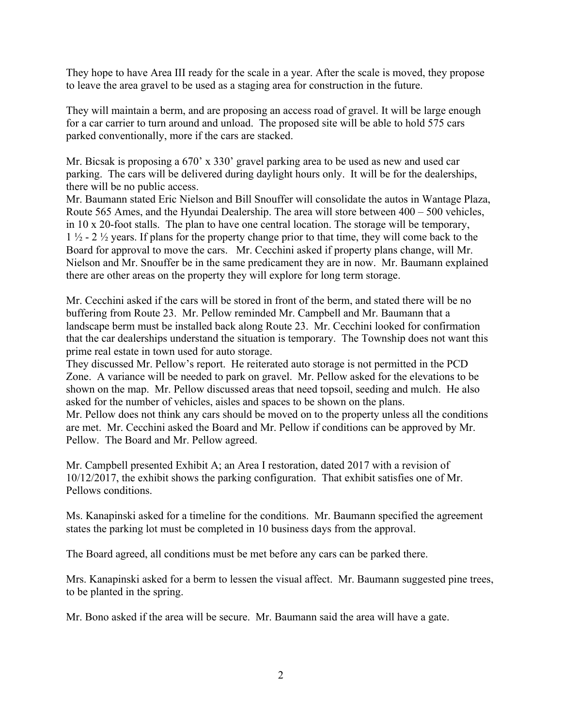They hope to have Area III ready for the scale in a year. After the scale is moved, they propose to leave the area gravel to be used as a staging area for construction in the future.

They will maintain a berm, and are proposing an access road of gravel. It will be large enough for a car carrier to turn around and unload. The proposed site will be able to hold 575 cars parked conventionally, more if the cars are stacked.

Mr. Bicsak is proposing a 670' x 330' gravel parking area to be used as new and used car parking. The cars will be delivered during daylight hours only. It will be for the dealerships, there will be no public access.

Mr. Baumann stated Eric Nielson and Bill Snouffer will consolidate the autos in Wantage Plaza, Route 565 Ames, and the Hyundai Dealership. The area will store between 400 – 500 vehicles, in 10 x 20-foot stalls. The plan to have one central location. The storage will be temporary, 1 ½ - 2 ½ years. If plans for the property change prior to that time, they will come back to the Board for approval to move the cars. Mr. Cecchini asked if property plans change, will Mr. Nielson and Mr. Snouffer be in the same predicament they are in now. Mr. Baumann explained there are other areas on the property they will explore for long term storage.

Mr. Cecchini asked if the cars will be stored in front of the berm, and stated there will be no buffering from Route 23. Mr. Pellow reminded Mr. Campbell and Mr. Baumann that a landscape berm must be installed back along Route 23. Mr. Cecchini looked for confirmation that the car dealerships understand the situation is temporary. The Township does not want this prime real estate in town used for auto storage.

They discussed Mr. Pellow's report. He reiterated auto storage is not permitted in the PCD Zone. A variance will be needed to park on gravel. Mr. Pellow asked for the elevations to be shown on the map. Mr. Pellow discussed areas that need topsoil, seeding and mulch. He also asked for the number of vehicles, aisles and spaces to be shown on the plans. Mr. Pellow does not think any cars should be moved on to the property unless all the conditions are met. Mr. Cecchini asked the Board and Mr. Pellow if conditions can be approved by Mr. Pellow. The Board and Mr. Pellow agreed.

Mr. Campbell presented Exhibit A; an Area I restoration, dated 2017 with a revision of 10/12/2017, the exhibit shows the parking configuration. That exhibit satisfies one of Mr. Pellows conditions.

Ms. Kanapinski asked for a timeline for the conditions. Mr. Baumann specified the agreement states the parking lot must be completed in 10 business days from the approval.

The Board agreed, all conditions must be met before any cars can be parked there.

Mrs. Kanapinski asked for a berm to lessen the visual affect. Mr. Baumann suggested pine trees, to be planted in the spring.

Mr. Bono asked if the area will be secure. Mr. Baumann said the area will have a gate.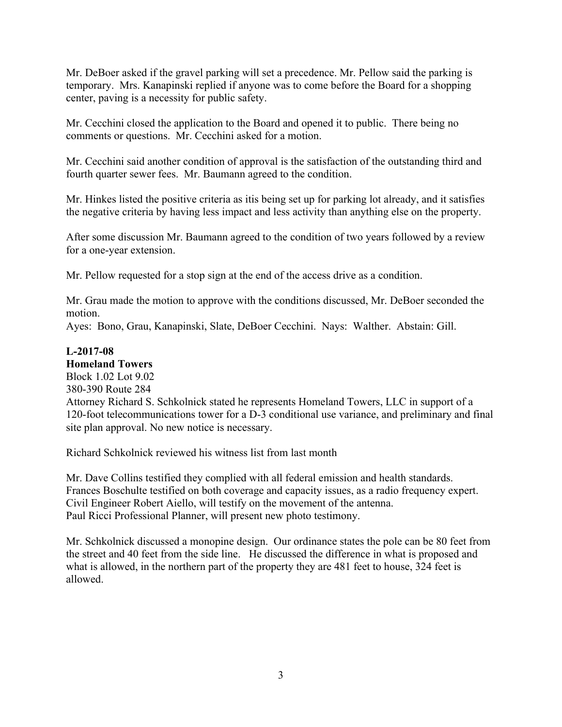Mr. DeBoer asked if the gravel parking will set a precedence. Mr. Pellow said the parking is temporary. Mrs. Kanapinski replied if anyone was to come before the Board for a shopping center, paving is a necessity for public safety.

Mr. Cecchini closed the application to the Board and opened it to public. There being no comments or questions. Mr. Cecchini asked for a motion.

Mr. Cecchini said another condition of approval is the satisfaction of the outstanding third and fourth quarter sewer fees. Mr. Baumann agreed to the condition.

Mr. Hinkes listed the positive criteria as itis being set up for parking lot already, and it satisfies the negative criteria by having less impact and less activity than anything else on the property.

After some discussion Mr. Baumann agreed to the condition of two years followed by a review for a one-year extension.

Mr. Pellow requested for a stop sign at the end of the access drive as a condition.

Mr. Grau made the motion to approve with the conditions discussed, Mr. DeBoer seconded the motion.

Ayes: Bono, Grau, Kanapinski, Slate, DeBoer Cecchini. Nays: Walther. Abstain: Gill.

## **L-2017-08**

**Homeland Towers** Block 1.02 Lot 9.02 380-390 Route 284 Attorney Richard S. Schkolnick stated he represents Homeland Towers, LLC in support of a 120-foot telecommunications tower for a D-3 conditional use variance, and preliminary and final site plan approval. No new notice is necessary.

Richard Schkolnick reviewed his witness list from last month

Mr. Dave Collins testified they complied with all federal emission and health standards. Frances Boschulte testified on both coverage and capacity issues, as a radio frequency expert. Civil Engineer Robert Aiello, will testify on the movement of the antenna. Paul Ricci Professional Planner, will present new photo testimony.

Mr. Schkolnick discussed a monopine design. Our ordinance states the pole can be 80 feet from the street and 40 feet from the side line. He discussed the difference in what is proposed and what is allowed, in the northern part of the property they are 481 feet to house, 324 feet is allowed.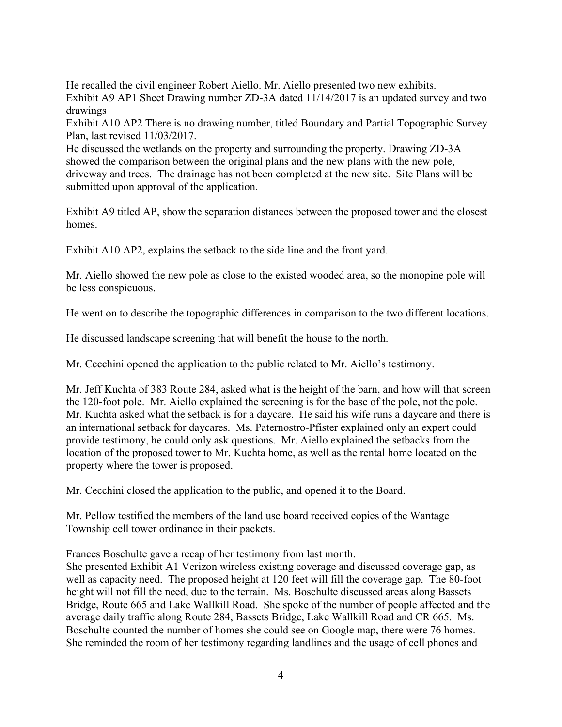He recalled the civil engineer Robert Aiello. Mr. Aiello presented two new exhibits. Exhibit A9 AP1 Sheet Drawing number ZD-3A dated 11/14/2017 is an updated survey and two drawings

Exhibit A10 AP2 There is no drawing number, titled Boundary and Partial Topographic Survey Plan, last revised 11/03/2017.

He discussed the wetlands on the property and surrounding the property. Drawing ZD-3A showed the comparison between the original plans and the new plans with the new pole, driveway and trees. The drainage has not been completed at the new site. Site Plans will be submitted upon approval of the application.

Exhibit A9 titled AP, show the separation distances between the proposed tower and the closest homes.

Exhibit A10 AP2, explains the setback to the side line and the front yard.

Mr. Aiello showed the new pole as close to the existed wooded area, so the monopine pole will be less conspicuous.

He went on to describe the topographic differences in comparison to the two different locations.

He discussed landscape screening that will benefit the house to the north.

Mr. Cecchini opened the application to the public related to Mr. Aiello's testimony.

Mr. Jeff Kuchta of 383 Route 284, asked what is the height of the barn, and how will that screen the 120-foot pole. Mr. Aiello explained the screening is for the base of the pole, not the pole. Mr. Kuchta asked what the setback is for a daycare. He said his wife runs a daycare and there is an international setback for daycares. Ms. Paternostro-Pfister explained only an expert could provide testimony, he could only ask questions. Mr. Aiello explained the setbacks from the location of the proposed tower to Mr. Kuchta home, as well as the rental home located on the property where the tower is proposed.

Mr. Cecchini closed the application to the public, and opened it to the Board.

Mr. Pellow testified the members of the land use board received copies of the Wantage Township cell tower ordinance in their packets.

Frances Boschulte gave a recap of her testimony from last month.

She presented Exhibit A1 Verizon wireless existing coverage and discussed coverage gap, as well as capacity need. The proposed height at 120 feet will fill the coverage gap. The 80-foot height will not fill the need, due to the terrain. Ms. Boschulte discussed areas along Bassets Bridge, Route 665 and Lake Wallkill Road. She spoke of the number of people affected and the average daily traffic along Route 284, Bassets Bridge, Lake Wallkill Road and CR 665. Ms. Boschulte counted the number of homes she could see on Google map, there were 76 homes. She reminded the room of her testimony regarding landlines and the usage of cell phones and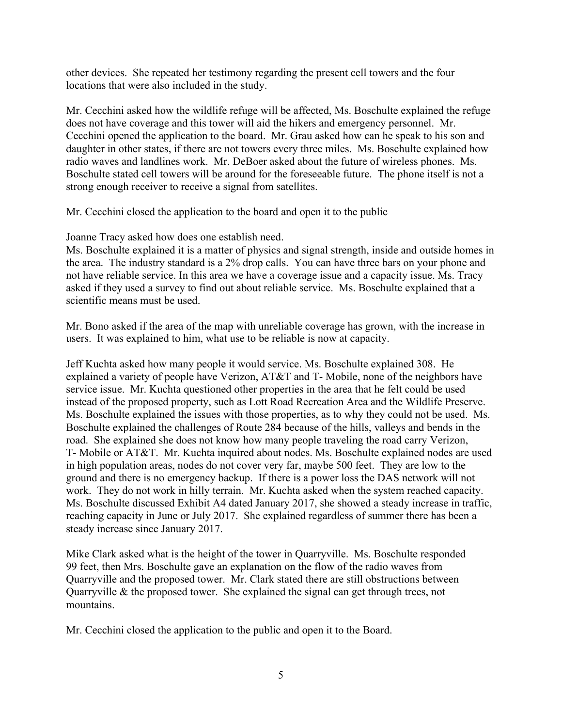other devices. She repeated her testimony regarding the present cell towers and the four locations that were also included in the study.

Mr. Cecchini asked how the wildlife refuge will be affected, Ms. Boschulte explained the refuge does not have coverage and this tower will aid the hikers and emergency personnel. Mr. Cecchini opened the application to the board. Mr. Grau asked how can he speak to his son and daughter in other states, if there are not towers every three miles. Ms. Boschulte explained how radio waves and landlines work. Mr. DeBoer asked about the future of wireless phones. Ms. Boschulte stated cell towers will be around for the foreseeable future. The phone itself is not a strong enough receiver to receive a signal from satellites.

Mr. Cecchini closed the application to the board and open it to the public

Joanne Tracy asked how does one establish need.

Ms. Boschulte explained it is a matter of physics and signal strength, inside and outside homes in the area. The industry standard is a 2% drop calls. You can have three bars on your phone and not have reliable service. In this area we have a coverage issue and a capacity issue. Ms. Tracy asked if they used a survey to find out about reliable service. Ms. Boschulte explained that a scientific means must be used.

Mr. Bono asked if the area of the map with unreliable coverage has grown, with the increase in users. It was explained to him, what use to be reliable is now at capacity.

Jeff Kuchta asked how many people it would service. Ms. Boschulte explained 308. He explained a variety of people have Verizon, AT&T and T- Mobile, none of the neighbors have service issue. Mr. Kuchta questioned other properties in the area that he felt could be used instead of the proposed property, such as Lott Road Recreation Area and the Wildlife Preserve. Ms. Boschulte explained the issues with those properties, as to why they could not be used. Ms. Boschulte explained the challenges of Route 284 because of the hills, valleys and bends in the road. She explained she does not know how many people traveling the road carry Verizon, T- Mobile or AT&T. Mr. Kuchta inquired about nodes. Ms. Boschulte explained nodes are used in high population areas, nodes do not cover very far, maybe 500 feet. They are low to the ground and there is no emergency backup. If there is a power loss the DAS network will not work. They do not work in hilly terrain. Mr. Kuchta asked when the system reached capacity. Ms. Boschulte discussed Exhibit A4 dated January 2017, she showed a steady increase in traffic, reaching capacity in June or July 2017. She explained regardless of summer there has been a steady increase since January 2017.

Mike Clark asked what is the height of the tower in Quarryville. Ms. Boschulte responded 99 feet, then Mrs. Boschulte gave an explanation on the flow of the radio waves from Quarryville and the proposed tower. Mr. Clark stated there are still obstructions between Quarryville & the proposed tower. She explained the signal can get through trees, not mountains.

Mr. Cecchini closed the application to the public and open it to the Board.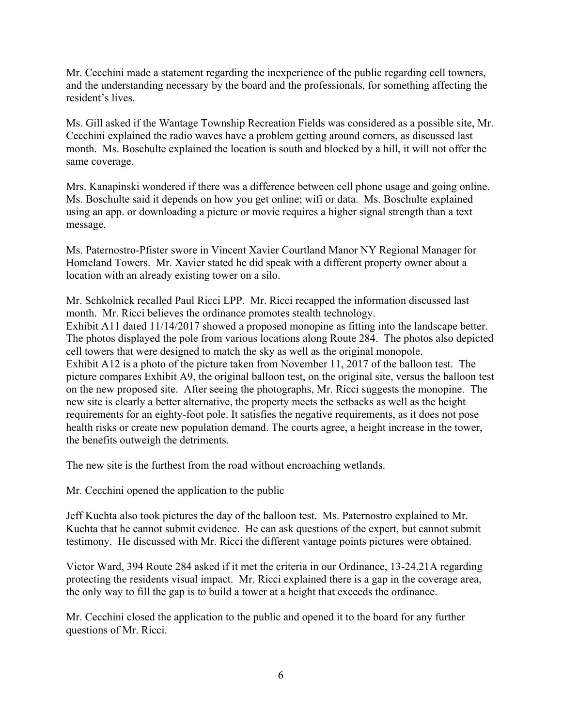Mr. Cecchini made a statement regarding the inexperience of the public regarding cell towners, and the understanding necessary by the board and the professionals, for something affecting the resident's lives.

Ms. Gill asked if the Wantage Township Recreation Fields was considered as a possible site, Mr. Cecchini explained the radio waves have a problem getting around corners, as discussed last month. Ms. Boschulte explained the location is south and blocked by a hill, it will not offer the same coverage.

Mrs. Kanapinski wondered if there was a difference between cell phone usage and going online. Ms. Boschulte said it depends on how you get online; wifi or data. Ms. Boschulte explained using an app. or downloading a picture or movie requires a higher signal strength than a text message.

Ms. Paternostro-Pfister swore in Vincent Xavier Courtland Manor NY Regional Manager for Homeland Towers. Mr. Xavier stated he did speak with a different property owner about a location with an already existing tower on a silo.

Mr. Schkolnick recalled Paul Ricci LPP. Mr. Ricci recapped the information discussed last month. Mr. Ricci believes the ordinance promotes stealth technology. Exhibit A11 dated 11/14/2017 showed a proposed monopine as fitting into the landscape better. The photos displayed the pole from various locations along Route 284. The photos also depicted cell towers that were designed to match the sky as well as the original monopole. Exhibit A12 is a photo of the picture taken from November 11, 2017 of the balloon test. The picture compares Exhibit A9, the original balloon test, on the original site, versus the balloon test on the new proposed site. After seeing the photographs, Mr. Ricci suggests the monopine. The new site is clearly a better alternative, the property meets the setbacks as well as the height requirements for an eighty-foot pole. It satisfies the negative requirements, as it does not pose health risks or create new population demand. The courts agree, a height increase in the tower, the benefits outweigh the detriments.

The new site is the furthest from the road without encroaching wetlands.

Mr. Cecchini opened the application to the public

Jeff Kuchta also took pictures the day of the balloon test. Ms. Paternostro explained to Mr. Kuchta that he cannot submit evidence. He can ask questions of the expert, but cannot submit testimony. He discussed with Mr. Ricci the different vantage points pictures were obtained.

Victor Ward, 394 Route 284 asked if it met the criteria in our Ordinance, 13-24.21A regarding protecting the residents visual impact. Mr. Ricci explained there is a gap in the coverage area, the only way to fill the gap is to build a tower at a height that exceeds the ordinance.

Mr. Cecchini closed the application to the public and opened it to the board for any further questions of Mr. Ricci.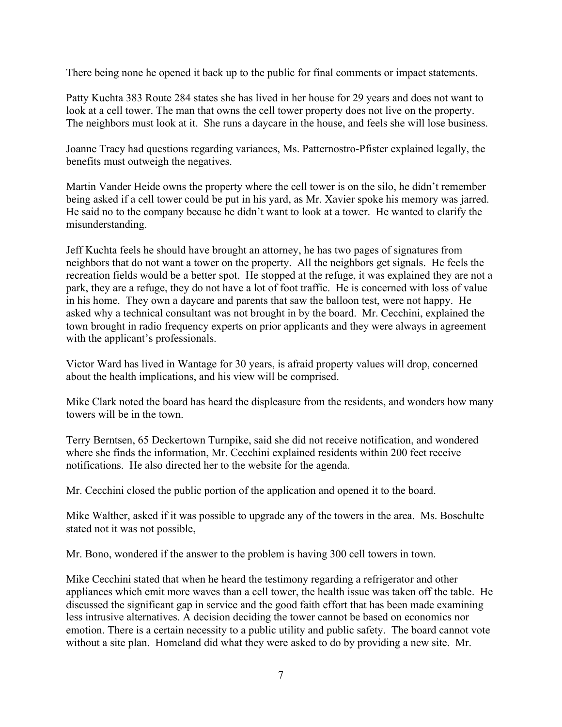There being none he opened it back up to the public for final comments or impact statements.

Patty Kuchta 383 Route 284 states she has lived in her house for 29 years and does not want to look at a cell tower. The man that owns the cell tower property does not live on the property. The neighbors must look at it. She runs a daycare in the house, and feels she will lose business.

Joanne Tracy had questions regarding variances, Ms. Patternostro-Pfister explained legally, the benefits must outweigh the negatives.

Martin Vander Heide owns the property where the cell tower is on the silo, he didn't remember being asked if a cell tower could be put in his yard, as Mr. Xavier spoke his memory was jarred. He said no to the company because he didn't want to look at a tower. He wanted to clarify the misunderstanding.

Jeff Kuchta feels he should have brought an attorney, he has two pages of signatures from neighbors that do not want a tower on the property. All the neighbors get signals. He feels the recreation fields would be a better spot. He stopped at the refuge, it was explained they are not a park, they are a refuge, they do not have a lot of foot traffic. He is concerned with loss of value in his home. They own a daycare and parents that saw the balloon test, were not happy. He asked why a technical consultant was not brought in by the board. Mr. Cecchini, explained the town brought in radio frequency experts on prior applicants and they were always in agreement with the applicant's professionals.

Victor Ward has lived in Wantage for 30 years, is afraid property values will drop, concerned about the health implications, and his view will be comprised.

Mike Clark noted the board has heard the displeasure from the residents, and wonders how many towers will be in the town.

Terry Berntsen, 65 Deckertown Turnpike, said she did not receive notification, and wondered where she finds the information, Mr. Cecchini explained residents within 200 feet receive notifications. He also directed her to the website for the agenda.

Mr. Cecchini closed the public portion of the application and opened it to the board.

Mike Walther, asked if it was possible to upgrade any of the towers in the area. Ms. Boschulte stated not it was not possible,

Mr. Bono, wondered if the answer to the problem is having 300 cell towers in town.

Mike Cecchini stated that when he heard the testimony regarding a refrigerator and other appliances which emit more waves than a cell tower, the health issue was taken off the table. He discussed the significant gap in service and the good faith effort that has been made examining less intrusive alternatives. A decision deciding the tower cannot be based on economics nor emotion. There is a certain necessity to a public utility and public safety. The board cannot vote without a site plan. Homeland did what they were asked to do by providing a new site. Mr.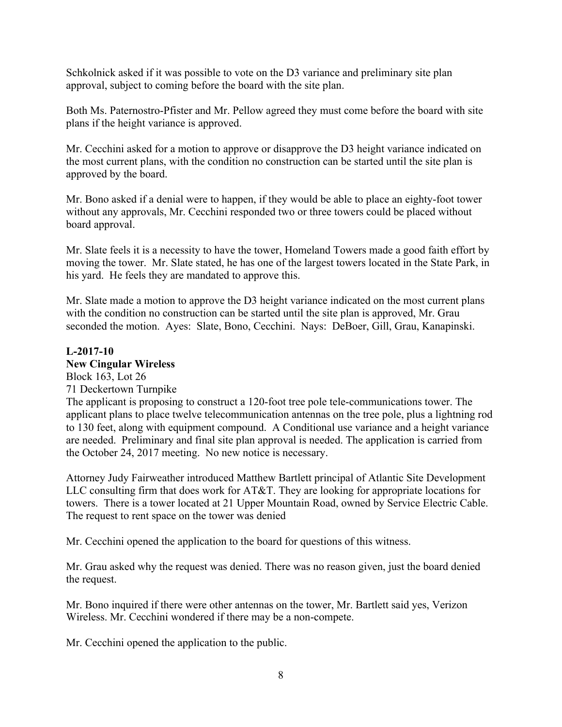Schkolnick asked if it was possible to vote on the D3 variance and preliminary site plan approval, subject to coming before the board with the site plan.

Both Ms. Paternostro-Pfister and Mr. Pellow agreed they must come before the board with site plans if the height variance is approved.

Mr. Cecchini asked for a motion to approve or disapprove the D3 height variance indicated on the most current plans, with the condition no construction can be started until the site plan is approved by the board.

Mr. Bono asked if a denial were to happen, if they would be able to place an eighty-foot tower without any approvals, Mr. Cecchini responded two or three towers could be placed without board approval.

Mr. Slate feels it is a necessity to have the tower, Homeland Towers made a good faith effort by moving the tower. Mr. Slate stated, he has one of the largest towers located in the State Park, in his yard. He feels they are mandated to approve this.

Mr. Slate made a motion to approve the D3 height variance indicated on the most current plans with the condition no construction can be started until the site plan is approved, Mr. Grau seconded the motion. Ayes: Slate, Bono, Cecchini. Nays: DeBoer, Gill, Grau, Kanapinski.

# **L-2017-10 New Cingular Wireless**

Block 163, Lot 26 71 Deckertown Turnpike The applicant is proposing to construct a 120-foot tree pole tele-communications tower. The applicant plans to place twelve telecommunication antennas on the tree pole, plus a lightning rod to 130 feet, along with equipment compound. A Conditional use variance and a height variance are needed. Preliminary and final site plan approval is needed. The application is carried from the October 24, 2017 meeting. No new notice is necessary.

Attorney Judy Fairweather introduced Matthew Bartlett principal of Atlantic Site Development LLC consulting firm that does work for AT&T. They are looking for appropriate locations for towers. There is a tower located at 21 Upper Mountain Road, owned by Service Electric Cable. The request to rent space on the tower was denied

Mr. Cecchini opened the application to the board for questions of this witness.

Mr. Grau asked why the request was denied. There was no reason given, just the board denied the request.

Mr. Bono inquired if there were other antennas on the tower, Mr. Bartlett said yes, Verizon Wireless. Mr. Cecchini wondered if there may be a non-compete.

Mr. Cecchini opened the application to the public.